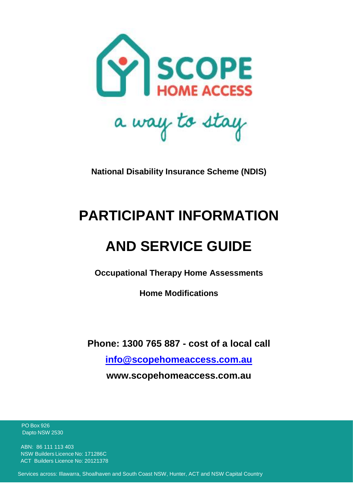

**National Disability Insurance Scheme (NDIS)**

# **PARTICIPANT INFORMATION**

# **AND SERVICE GUIDE**

**Occupational Therapy Home Assessments**

**Home Modifications**

**Phone: 1300 765 887 - cost of a local call**

**[info@scopehomeaccess.com.au](mailto:info@scopehomeaccess.com.au)**

**www.scopehomeaccess.com.au**

 PO Box 926 Dapto NSW 2530

 ABN: 86 111 113 403 NSW Builders Licence No: 171286C ACT Builders Licence No: 20121378

Services across: Illawarra, Shoalhaven and South Coast NSW, Hunter, ACT and NSW Capital Country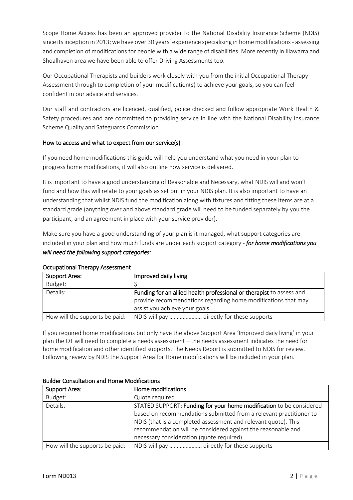Scope Home Access has been an approved provider to the National Disability Insurance Scheme (NDIS) since its inception in 2013; we have over 30 years' experience specialising in home modifications - assessing and completion of modifications for people with a wide range of disabilities. More recently in Illawarra and Shoalhaven area we have been able to offer Driving Assessments too.

Our Occupational Therapists and builders work closely with you from the initial Occupational Therapy Assessment through to completion of your modification(s) to achieve your goals, so you can feel confident in our advice and services.

Our staff and contractors are licenced, qualified, police checked and follow appropriate Work Health & Safety procedures and are committed to providing service in line with the National Disability Insurance Scheme Quality and Safeguards Commission.

## How to access and what to expect from our service(s)

If you need home modifications this guide will help you understand what you need in your plan to progress home modifications, it will also outline how service is delivered.

It is important to have a good understanding of Reasonable and Necessary, what NDIS will and won't fund and how this will relate to your goals as set out in your NDIS plan. It is also important to have an understanding that whilst NDIS fund the modification along with fixtures and fitting these items are at a standard grade (anything over and above standard grade will need to be funded separately by you the participant, and an agreement in place with your service provider).

Make sure you have a good understanding of your plan is it managed, what support categories are included in your plan and how much funds are under each support category - *for home modifications you will need the following support categories:* 

| Support Area:                  | Improved daily living                                                                                                                                                  |
|--------------------------------|------------------------------------------------------------------------------------------------------------------------------------------------------------------------|
| Budget:                        |                                                                                                                                                                        |
| Details:                       | Funding for an allied health professional or therapist to assess and<br>provide recommendations regarding home modifications that may<br>assist you achieve your goals |
| How will the supports be paid: | NDIS will pay  directly for these supports                                                                                                                             |

#### Occupational Therapy Assessment

If you required home modifications but only have the above Support Area 'Improved daily living' in your plan the OT will need to complete a needs assessment – the needs assessment indicates the need for home modification and other identified supports. The Needs Report is submitted to NDIS for review. Following review by NDIS the Support Area for Home modifications will be included in your plan.

| Dunuci Consultation and Home Mountations |                                                                     |
|------------------------------------------|---------------------------------------------------------------------|
| Support Area:                            | Home modifications                                                  |
| Budget:                                  | Quote required                                                      |
| Details:                                 | STATED SUPPORT: Funding for your home modification to be considered |
|                                          | based on recommendations submitted from a relevant practitioner to  |
|                                          | NDIS (that is a completed assessment and relevant quote). This      |
|                                          | recommendation will be considered against the reasonable and        |
|                                          | necessary consideration (quote required)                            |
| How will the supports be paid:           | NDIS will pay  directly for these supports                          |

### Builder Consultation and Home Modifications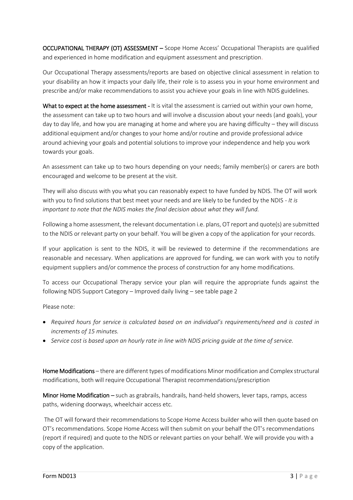OCCUPATIONAL THERAPY (OT) ASSESSMENT – Scope Home Access' Occupational Therapists are qualified and experienced in home modification and equipment assessment and prescription.

Our Occupational Therapy assessments/reports are based on objective clinical assessment in relation to your disability an how it impacts your daily life, their role is to assess you in your home environment and prescribe and/or make recommendations to assist you achieve your goals in line with NDIS guidelines.

What to expect at the home assessment - It is vital the assessment is carried out within your own home, the assessment can take up to two hours and will involve a discussion about your needs (and goals), your day to day life, and how you are managing at home and where you are having difficulty – they will discuss additional equipment and/or changes to your home and/or routine and provide professional advice around achieving your goals and potential solutions to improve your independence and help you work towards your goals.

An assessment can take up to two hours depending on your needs; family member(s) or carers are both encouraged and welcome to be present at the visit.

They will also discuss with you what you can reasonably expect to have funded by NDIS. The OT will work with you to find solutions that best meet your needs and are likely to be funded by the NDIS - *It is important to note that the NDIS makes the final decision about what they will fund.*

Following a home assessment, the relevant documentation i.e. plans, OT report and quote(s) are submitted to the NDIS or relevant party on your behalf. You will be given a copy of the application for your records.

If your application is sent to the NDIS, it will be reviewed to determine if the recommendations are reasonable and necessary. When applications are approved for funding, we can work with you to notify equipment suppliers and/or commence the process of construction for any home modifications.

To access our Occupational Therapy service your plan will require the appropriate funds against the following NDIS Support Category – Improved daily living – see table page 2

Please note:

- *Required hours for service is calculated based on an individual's requirements/need and is costed in increments of 15 minutes.*
- *Service cost is based upon an hourly rate in line with NDIS pricing guide at the time of service.*

Home Modifications – there are different types of modifications Minor modification and Complex structural modifications, both will require Occupational Therapist recommendations/prescription

Minor Home Modification – such as grabrails, handrails, hand-held showers, lever taps, ramps, access paths, widening doorways, wheelchair access etc.

The OT will forward their recommendations to Scope Home Access builder who will then quote based on OT's recommendations. Scope Home Access will then submit on your behalf the OT's recommendations (report if required) and quote to the NDIS or relevant parties on your behalf. We will provide you with a copy of the application.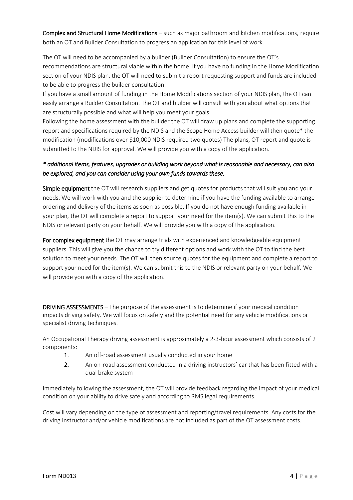Complex and Structural Home Modifications – such as major bathroom and kitchen modifications, require both an OT and Builder Consultation to progress an application for this level of work.

The OT will need to be accompanied by a builder (Builder Consultation) to ensure the OT's recommendations are structural viable within the home. If you have no funding in the Home Modification section of your NDIS plan, the OT will need to submit a report requesting support and funds are included to be able to progress the builder consultation.

If you have a small amount of funding in the Home Modifications section of your NDIS plan, the OT can easily arrange a Builder Consultation. The OT and builder will consult with you about what options that are structurally possible and what will help you meet your goals.

Following the home assessment with the builder the OT will draw up plans and complete the supporting report and specifications required by the NDIS and the Scope Home Access builder will then quote\* the modification (modifications over \$10,000 NDIS required two quotes) The plans, OT report and quote is submitted to the NDIS for approval. We will provide you with a copy of the application.

# *\* additional items, features, upgrades or building work beyond what is reasonable and necessary, can also be explored, and you can consider using your own funds towards these.*

Simple equipment the OT will research suppliers and get quotes for products that will suit you and your needs. We will work with you and the supplier to determine if you have the funding available to arrange ordering and delivery of the items as soon as possible. If you do not have enough funding available in your plan, the OT will complete a report to support your need for the item(s). We can submit this to the NDIS or relevant party on your behalf. We will provide you with a copy of the application.

For complex equipment the OT may arrange trials with experienced and knowledgeable equipment suppliers. This will give you the chance to try different options and work with the OT to find the best solution to meet your needs. The OT will then source quotes for the equipment and complete a report to support your need for the item(s). We can submit this to the NDIS or relevant party on your behalf. We will provide you with a copy of the application.

DRIVING ASSESSMENTS – The purpose of the assessment is to determine if your medical condition impacts driving safety. We will focus on safety and the potential need for any vehicle modifications or specialist driving techniques.

An Occupational Therapy driving assessment is approximately a 2-3-hour assessment which consists of 2 components:

- 1. An off-road assessment usually conducted in your home
- 2. An on-road assessment conducted in a driving instructors' car that has been fitted with a dual brake system

Immediately following the assessment, the OT will provide feedback regarding the impact of your medical condition on your ability to drive safely and according to RMS legal requirements.

Cost will vary depending on the type of assessment and reporting/travel requirements. Any costs for the driving instructor and/or vehicle modifications are not included as part of the OT assessment costs.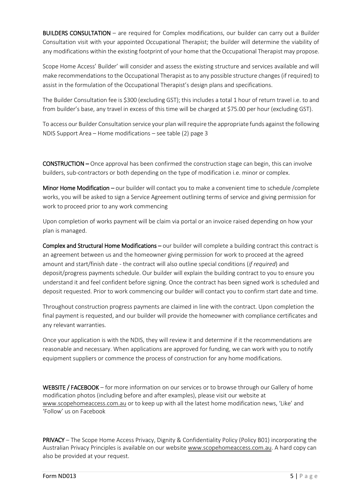BUILDERS CONSULTATION – are required for Complex modifications, our builder can carry out a Builder Consultation visit with your appointed Occupational Therapist; the builder will determine the viability of any modifications within the existing footprint of your home that the Occupational Therapist may propose.

Scope Home Access' Builder' will consider and assess the existing structure and services available and will make recommendations to the Occupational Therapist as to any possible structure changes (if required) to assist in the formulation of the Occupational Therapist's design plans and specifications.

The Builder Consultation fee is \$300 (excluding GST); this includes a total 1 hour of return travel i.e. to and from builder's base, any travel in excess of this time will be charged at \$75.00 per hour (excluding GST).

To access our Builder Consultation service your plan will require the appropriate funds against the following NDIS Support Area – Home modifications – see table (2) page 3

CONSTRUCTION – Once approval has been confirmed the construction stage can begin, this can involve builders, sub-contractors or both depending on the type of modification i.e. minor or complex.

Minor Home Modification – our builder will contact you to make a convenient time to schedule /complete works, you will be asked to sign a Service Agreement outlining terms of service and giving permission for work to proceed prior to any work commencing

Upon completion of works payment will be claim via portal or an invoice raised depending on how your plan is managed.

Complex and Structural Home Modifications – our builder will complete a building contract this contract is an agreement between us and the homeowner giving permission for work to proceed at the agreed amount and start/finish date - the contract will also outline special conditions (*if required*) and deposit/progress payments schedule. Our builder will explain the building contract to you to ensure you understand it and feel confident before signing. Once the contract has been signed work is scheduled and deposit requested. Prior to work commencing our builder will contact you to confirm start date and time.

Throughout construction progress payments are claimed in line with the contract. Upon completion the final payment is requested, and our builder will provide the homeowner with compliance certificates and any relevant warranties.

Once your application is with the NDIS, they will review it and determine if it the recommendations are reasonable and necessary. When applications are approved for funding, we can work with you to notify equipment suppliers or commence the process of construction for any home modifications.

WEBSITE / FACEBOOK – for more information on our services or to browse through our Gallery of home modification photos (including before and after examples), please visit our website at [www.scopehomeaccess.com.au](http://www.scopehomeaccess.com.au/) or to keep up with all the latest home modification news, 'Like' and 'Follow' us on Facebook

PRIVACY – The Scope Home Access Privacy, Dignity & Confidentiality Policy (Policy B01) incorporating the Australian Privacy Principles is available on our website [www.scopehomeaccess.com.au.](http://www.scopehomeaccess.com.au/) A hard copy can also be provided at your request.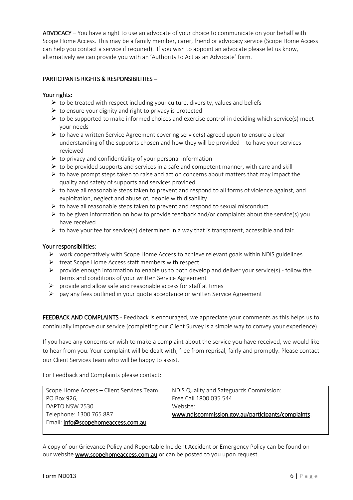ADVOCACY – You have a right to use an advocate of your choice to communicate on your behalf with Scope Home Access. This may be a family member, carer, friend or advocacy service (Scope Home Access can help you contact a service if required). If you wish to appoint an advocate please let us know, alternatively we can provide you with an 'Authority to Act as an Advocate' form.

### PARTICIPANTS RIGHTS & RESPONSIBILITIES –

### Your rights:

- $\triangleright$  to be treated with respect including your culture, diversity, values and beliefs
- $\triangleright$  to ensure your dignity and right to privacy is protected
- $\triangleright$  to be supported to make informed choices and exercise control in deciding which service(s) meet your needs
- $\triangleright$  to have a written Service Agreement covering service(s) agreed upon to ensure a clear understanding of the supports chosen and how they will be provided – to have your services reviewed
- $\triangleright$  to privacy and confidentiality of your personal information
- $\triangleright$  to be provided supports and services in a safe and competent manner, with care and skill
- $\triangleright$  to have prompt steps taken to raise and act on concerns about matters that may impact the quality and safety of supports and services provided
- $\triangleright$  to have all reasonable steps taken to prevent and respond to all forms of violence against, and exploitation, neglect and abuse of, people with disability
- $\triangleright$  to have all reasonable steps taken to prevent and respond to sexual misconduct
- $\triangleright$  to be given information on how to provide feedback and/or complaints about the service(s) you have received
- $\triangleright$  to have your fee for service(s) determined in a way that is transparent, accessible and fair.

#### Your responsibilities:

- $\triangleright$  work cooperatively with Scope Home Access to achieve relevant goals within NDIS guidelines
- $\triangleright$  treat Scope Home Access staff members with respect
- $\triangleright$  provide enough information to enable us to both develop and deliver your service(s) follow the terms and conditions of your written Service Agreement
- $\triangleright$  provide and allow safe and reasonable access for staff at times
- $\triangleright$  pay any fees outlined in your quote acceptance or written Service Agreement

FEEDBACK AND COMPLAINTS - Feedback is encouraged, we appreciate your comments as this helps us to continually improve our service (completing our Client Survey is a simple way to convey your experience).

If you have any concerns or wish to make a complaint about the service you have received, we would like to hear from you. Your complaint will be dealt with, free from reprisal, fairly and promptly. Please contact our Client Services team who will be happy to assist.

For Feedback and Complaints please contact:

| Scope Home Access - Client Services Team | NDIS Quality and Safeguards Commission:           |
|------------------------------------------|---------------------------------------------------|
| PO Box 926,                              | Free Call 1800 035 544                            |
| DAPTO NSW 2530                           | Website:                                          |
| Telephone: 1300 765 887                  | www.ndiscommission.gov.au/participants/complaints |
| Email: info@scopehomeaccess.com.au       |                                                   |
|                                          |                                                   |

A copy of our Grievance Policy and Reportable Incident Accident or Emergency Policy can be found on our website www.scopehomeaccess.com.au or can be posted to you upon request.